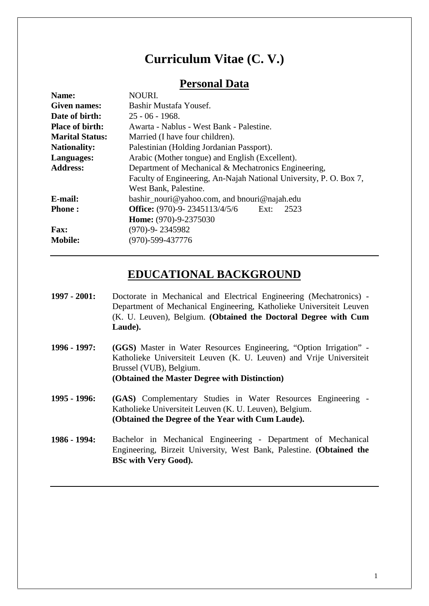# **Curriculum Vitae (C. V.)**

## **Personal Data**

| Name:                  | NOURI.                                                             |
|------------------------|--------------------------------------------------------------------|
| <b>Given names:</b>    | Bashir Mustafa Yousef.                                             |
| Date of birth:         | $25 - 06 - 1968.$                                                  |
| <b>Place of birth:</b> | Awarta - Nablus - West Bank - Palestine.                           |
| <b>Marital Status:</b> | Married (I have four children).                                    |
| <b>Nationality:</b>    | Palestinian (Holding Jordanian Passport).                          |
| Languages:             | Arabic (Mother tongue) and English (Excellent).                    |
| <b>Address:</b>        | Department of Mechanical & Mechatronics Engineering,               |
|                        | Faculty of Engineering, An-Najah National University, P. O. Box 7, |
|                        | West Bank, Palestine.                                              |
| E-mail:                | bashir_nouri@yahoo.com, and bnouri@najah.edu                       |
| <b>Phone:</b>          | <b>Office:</b> $(970)$ -9- 2345113/4/5/6<br>Ext:<br>2523           |
|                        | Home: (970)-9-2375030                                              |
| <b>Fax:</b>            | $(970)-9 - 2345982$                                                |
| <b>Mobile:</b>         | $(970) - 599 - 437776$                                             |
|                        |                                                                    |

# **EDUCATIONAL BACKGROUND**

- **1997 - 2001:** Doctorate in Mechanical and Electrical Engineering (Mechatronics) Department of Mechanical Engineering, Katholieke Universiteit Leuven (K. U. Leuven), Belgium. **(Obtained the Doctoral Degree with Cum Laude).**
- **1996 - 1997: (GGS)** Master in Water Resources Engineering, "Option Irrigation" Katholieke Universiteit Leuven (K. U. Leuven) and Vrije Universiteit Brussel (VUB), Belgium. **(Obtained the Master Degree with Distinction)**
- **1995 - 1996: (GAS)** Complementary Studies in Water Resources Engineering Katholieke Universiteit Leuven (K. U. Leuven), Belgium. **(Obtained the Degree of the Year with Cum Laude).**
- **1986 - 1994:** Bachelor in Mechanical Engineering Department of Mechanical Engineering, Birzeit University, West Bank, Palestine. **(Obtained the BSc with Very Good).**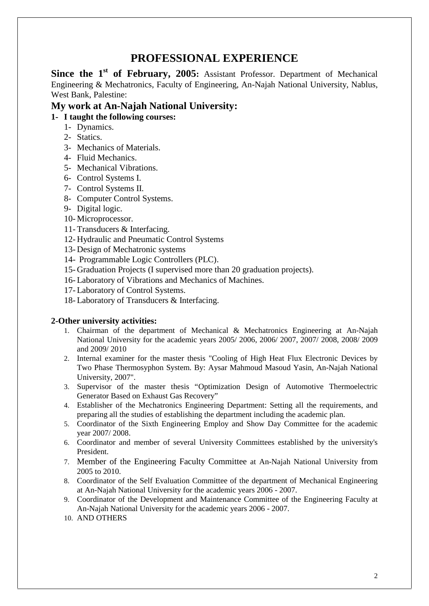# **PROFESSIONAL EXPERIENCE**

**Since the 1st of February, 2005:** Assistant Professor. Department of Mechanical Engineering & Mechatronics, Faculty of Engineering, An-Najah National University, Nablus, West Bank, Palestine:

### **My work at An-Najah National University:**

### **1- I taught the following courses:**

- 1- Dynamics.
- 2- Statics.
- 3- Mechanics of Materials.
- 4- Fluid Mechanics.
- 5- Mechanical Vibrations.
- 6- Control Systems I.
- 7- Control Systems II.
- 8- Computer Control Systems.
- 9- Digital logic.
- 10- Microprocessor.
- 11- Transducers & Interfacing.
- 12- Hydraulic and Pneumatic Control Systems
- 13- Design of Mechatronic systems
- 14- Programmable Logic Controllers (PLC).
- 15- Graduation Projects (I supervised more than 20 graduation projects).
- 16- Laboratory of Vibrations and Mechanics of Machines.
- 17- Laboratory of Control Systems.
- 18- Laboratory of Transducers & Interfacing.

### **2-Other university activities:**

- 1. Chairman of the department of Mechanical & Mechatronics Engineering at An-Najah National University for the academic years 2005/ 2006, 2006/ 2007, 2007/ 2008, 2008/ 2009 and 2009/ 2010
- 2. Internal examiner for the master thesis "Cooling of High Heat Flux Electronic Devices by Two Phase Thermosyphon System. By: Aysar Mahmoud Masoud Yasin, An-Najah National University, 2007".
- 3. Supervisor of the master thesis "Optimization Design of Automotive Thermoelectric Generator Based on Exhaust Gas Recovery"
- 4. Establisher of the Mechatronics Engineering Department: Setting all the requirements, and preparing all the studies of establishing the department including the academic plan.
- 5. Coordinator of the Sixth Engineering Employ and Show Day Committee for the academic year 2007/ 2008.
- 6. Coordinator and member of several University Committees established by the university's President.
- 7. Member of the Engineering Faculty Committee at An-Najah National University from 2005 to 2010.
- 8. Coordinator of the Self Evaluation Committee of the department of Mechanical Engineering at An-Najah National University for the academic years 2006 - 2007.
- 9. Coordinator of the Development and Maintenance Committee of the Engineering Faculty at An-Najah National University for the academic years 2006 - 2007.
- 10. AND OTHERS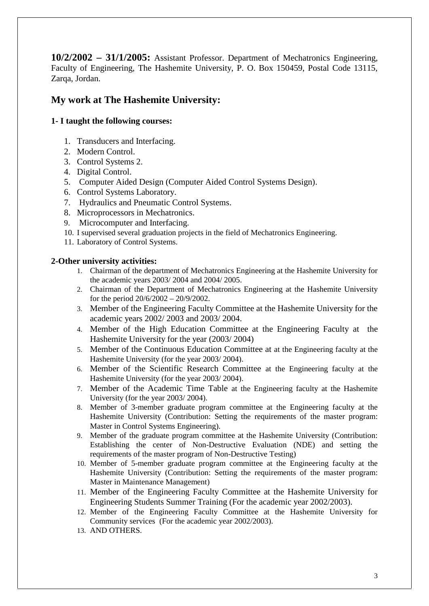**10/2/2002 – 31/1/2005:** Assistant Professor. Department of Mechatronics Engineering, Faculty of Engineering, The Hashemite University, P. O. Box 150459, Postal Code 13115, Zarqa, Jordan.

### **My work at The Hashemite University:**

### **1- I taught the following courses:**

- 1. Transducers and Interfacing.
- 2. Modern Control.
- 3. Control Systems 2.
- 4. Digital Control.
- 5. Computer Aided Design (Computer Aided Control Systems Design).
- 6. Control Systems Laboratory.
- 7. Hydraulics and Pneumatic Control Systems.
- 8. Microprocessors in Mechatronics.
- 9. Microcomputer and Interfacing.
- 10. I supervised several graduation projects in the field of Mechatronics Engineering.
- 11. Laboratory of Control Systems.

#### **2-Other university activities:**

- 1. Chairman of the department of Mechatronics Engineering at the Hashemite University for the academic years 2003/ 2004 and 2004/ 2005.
- 2. Chairman of the Department of Mechatronics Engineering at the Hashemite University for the period 20/6/2002 – 20/9/2002.
- 3. Member of the Engineering Faculty Committee at the Hashemite University for the academic years 2002/ 2003 and 2003/ 2004.
- 4. Member of the High Education Committee at the Engineering Faculty at the Hashemite University for the year (2003/ 2004)
- 5. Member of the Continuous Education Committee at at the Engineering faculty at the Hashemite University (for the year 2003/ 2004).
- 6. Member of the Scientific Research Committee at the Engineering faculty at the Hashemite University (for the year 2003/ 2004).
- 7. Member of the Academic Time Table at the Engineering faculty at the Hashemite University (for the year 2003/ 2004).
- 8. Member of 3-member graduate program committee at the Engineering faculty at the Hashemite University (Contribution: Setting the requirements of the master program: Master in Control Systems Engineering).
- 9. Member of the graduate program committee at the Hashemite University (Contribution: Establishing the center of Non-Destructive Evaluation (NDE) and setting the requirements of the master program of Non-Destructive Testing)
- 10. Member of 5-member graduate program committee at the Engineering faculty at the Hashemite University (Contribution: Setting the requirements of the master program: Master in Maintenance Management)
- 11. Member of the Engineering Faculty Committee at the Hashemite University for Engineering Students Summer Training (For the academic year 2002/2003).
- 12. Member of the Engineering Faculty Committee at the Hashemite University for Community services (For the academic year 2002/2003).
- 13. AND OTHERS.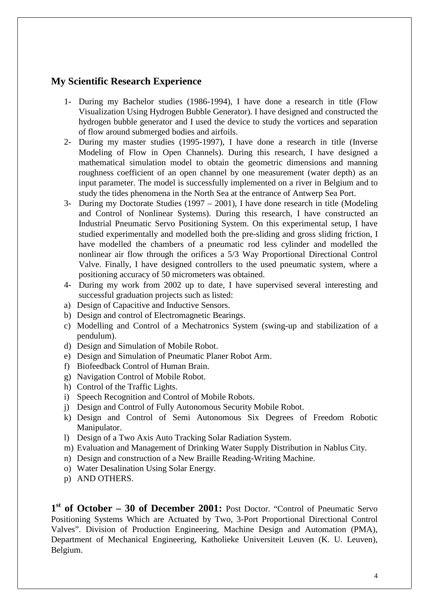### **My Scientific Research Experience**

- 1- During my Bachelor studies (1986-1994), I have done a research in title (Flow Visualization Using Hydrogen Bubble Generator). I have designed and constructed the hydrogen bubble generator and I used the device to study the vortices and separation of flow around submerged bodies and airfoils.
- 2- During my master studies (1995-1997), I have done a research in title (Inverse Modeling of Flow in Open Channels). During this research, I have designed a mathematical simulation model to obtain the geometric dimensions and manning roughness coefficient of an open channel by one measurement (water depth) as an input parameter. The model is successfully implemented on a river in Belgium and to study the tides phenomena in the North Sea at the entrance of Antwerp Sea Port.
- 3- During my Doctorate Studies (1997 2001), I have done research in title (Modeling and Control of Nonlinear Systems). During this research, I have constructed an Industrial Pneumatic Servo Positioning System. On this experimental setup, I have studied experimentally and modelled both the pre-sliding and gross sliding friction, I have modelled the chambers of a pneumatic rod less cylinder and modelled the nonlinear air flow through the orifices a 5/3 Way Proportional Directional Control Valve. Finally, I have designed controllers to the used pneumatic system, where a positioning accuracy of 50 micrometers was obtained.
- 4- During my work from 2002 up to date, I have supervised several interesting and successful graduation projects such as listed:
- a) Design of Capacitive and Inductive Sensors.
- b) Design and control of Electromagnetic Bearings.
- c) Modelling and Control of a Mechatronics System (swing-up and stabilization of a pendulum).
- d) Design and Simulation of Mobile Robot.
- e) Design and Simulation of Pneumatic Planer Robot Arm.
- f) Biofeedback Control of Human Brain.
- g) Navigation Control of Mobile Robot.
- h) Control of the Traffic Lights.
- i) Speech Recognition and Control of Mobile Robots.
- j) Design and Control of Fully Autonomous Security Mobile Robot.
- k) Design and Control of Semi Autonomous Six Degrees of Freedom Robotic Manipulator.
- l) Design of a Two Axis Auto Tracking Solar Radiation System.
- m) Evaluation and Management of Drinking Water Supply Distribution in Nablus City.
- n) Design and construction of a New Braille Reading-Writing Machine.
- o) Water Desalination Using Solar Energy.
- p) AND OTHERS.

**1 st of October – 30 of December 2001:** Post Doctor. "Control of Pneumatic Servo Positioning Systems Which are Actuated by Two, 3-Port Proportional Directional Control Valves". Division of Production Engineering, Machine Design and Automation (PMA), Department of Mechanical Engineering, Katholieke Universiteit Leuven (K. U. Leuven), Belgium.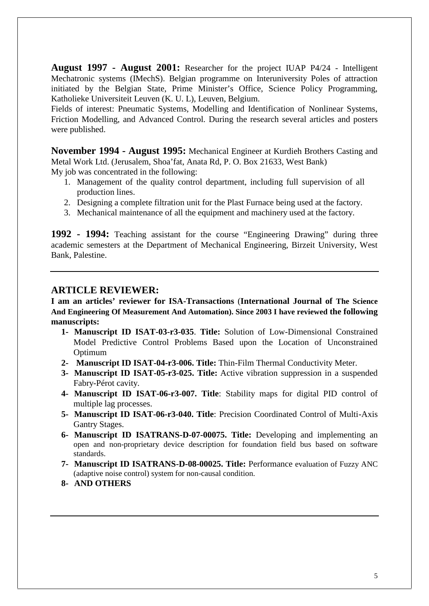**August 1997 - August 2001:** Researcher for the project IUAP P4/24 - Intelligent Mechatronic systems (IMechS). Belgian programme on Interuniversity Poles of attraction initiated by the Belgian State, Prime Minister's Office, Science Policy Programming, Katholieke Universiteit Leuven (K. U. L), Leuven, Belgium.

Fields of interest: Pneumatic Systems, Modelling and Identification of Nonlinear Systems, Friction Modelling, and Advanced Control. During the research several articles and posters were published.

**November 1994 - August 1995:** Mechanical Engineer at Kurdieh Brothers Casting and Metal Work Ltd. (Jerusalem, Shoa'fat, Anata Rd, P. O. Box 21633, West Bank) My job was concentrated in the following:

- 1. Management of the quality control department, including full supervision of all production lines.
- 2. Designing a complete filtration unit for the Plast Furnace being used at the factory.
- 3. Mechanical maintenance of all the equipment and machinery used at the factory.

**1992 - 1994:** Teaching assistant for the course "Engineering Drawing" during three academic semesters at the Department of Mechanical Engineering, Birzeit University, West Bank, Palestine.

### **ARTICLE REVIEWER:**

**I am an articles' reviewer for ISA-Transactions** (**International Journal of The Science And Engineering Of Measurement And Automation). Since 2003 I have reviewed the following manuscripts:**

- **1- Manuscript ID ISAT-03-r3-035**. **Title:** Solution of Low-Dimensional Constrained Model Predictive Control Problems Based upon the Location of Unconstrained Optimum
- **2- Manuscript ID ISAT-04-r3-006. Title:** Thin-Film Thermal Conductivity Meter.
- **3- Manuscript ID ISAT-05-r3-025. Title:** Active vibration suppression in a suspended Fabry-Pérot cavity.
- **4- Manuscript ID ISAT-06-r3-007. Title**: Stability maps for digital PID control of multiple lag processes.
- **5- Manuscript ID ISAT-06-r3-040. Title**: Precision Coordinated Control of Multi-Axis Gantry Stages.
- **6- Manuscript ID ISATRANS-D-07-00075. Title:** Developing and implementing an open and non-proprietary device description for foundation field bus based on software standards.
- **7- Manuscript ID ISATRANS-D-08-00025. Title:** Performance evaluation of Fuzzy ANC (adaptive noise control) system for non-causal condition.
- **8- AND OTHERS**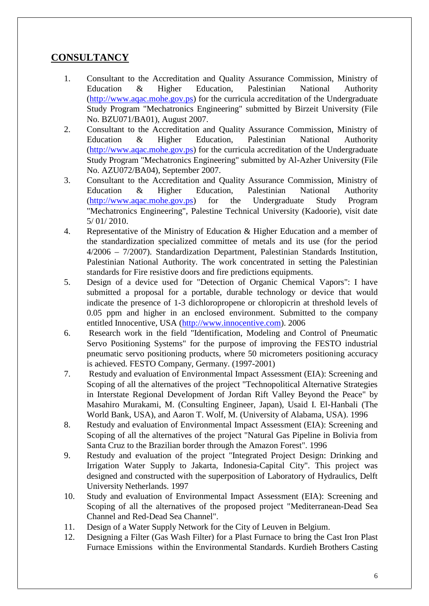# **CONSULTANCY**

- 1. Consultant to the Accreditation and Quality Assurance Commission, Ministry of Education & Higher Education, Palestinian National Authority (http://www.aqac.mohe.gov.ps) for the curricula accreditation of the Undergraduate Study Program "Mechatronics Engineering" submitted by Birzeit University (File No. BZU071/BA01), August 2007.
- 2. Consultant to the Accreditation and Quality Assurance Commission, Ministry of Education & Higher Education, Palestinian National Authority (http://www.aqac.mohe.gov.ps) for the curricula accreditation of the Undergraduate Study Program "Mechatronics Engineering" submitted by Al-Azher University (File No. AZU072/BA04), September 2007.
- 3. Consultant to the Accreditation and Quality Assurance Commission, Ministry of Education & Higher Education, Palestinian National Authority (http://www.aqac.mohe.gov.ps) for the Undergraduate Study Program "Mechatronics Engineering", Palestine Technical University (Kadoorie), visit date 5/ 01/ 2010.
- 4. Representative of the Ministry of Education & Higher Education and a member of the standardization specialized committee of metals and its use (for the period 4/2006 – 7/2007). Standardization Department, Palestinian Standards Institution, Palestinian National Authority. The work concentrated in setting the Palestinian standards for Fire resistive doors and fire predictions equipments.
- 5. Design of a device used for "Detection of Organic Chemical Vapors": I have submitted a proposal for a portable, durable technology or device that would indicate the presence of 1-3 dichloropropene or chloropicrin at threshold levels of 0.05 ppm and higher in an enclosed environment. Submitted to the company entitled Innocentive, USA (http://www.innocentive.com). 2006
- 6. Research work in the field "Identification, Modeling and Control of Pneumatic Servo Positioning Systems" for the purpose of improving the FESTO industrial pneumatic servo positioning products, where 50 micrometers positioning accuracy is achieved. FESTO Company, Germany. (1997-2001)
- 7. Restudy and evaluation of Environmental Impact Assessment (EIA): Screening and Scoping of all the alternatives of the project "Technopolitical Alternative Strategies in Interstate Regional Development of Jordan Rift Valley Beyond the Peace" by Masahiro Murakami, M. (Consulting Engineer, Japan), Usaid I. El-Hanbali (The World Bank, USA), and Aaron T. Wolf, M. (University of Alabama, USA). 1996
- 8. Restudy and evaluation of Environmental Impact Assessment (EIA): Screening and Scoping of all the alternatives of the project "Natural Gas Pipeline in Bolivia from Santa Cruz to the Brazilian border through the Amazon Forest". 1996
- 9. Restudy and evaluation of the project "Integrated Project Design: Drinking and Irrigation Water Supply to Jakarta, Indonesia-Capital City". This project was designed and constructed with the superposition of Laboratory of Hydraulics, Delft University Netherlands. 1997
- 10. Study and evaluation of Environmental Impact Assessment (EIA): Screening and Scoping of all the alternatives of the proposed project "Mediterranean-Dead Sea Channel and Red-Dead Sea Channel".
- 11. Design of a Water Supply Network for the City of Leuven in Belgium.
- 12. Designing a Filter (Gas Wash Filter) for a Plast Furnace to bring the Cast Iron Plast Furnace Emissions within the Environmental Standards. Kurdieh Brothers Casting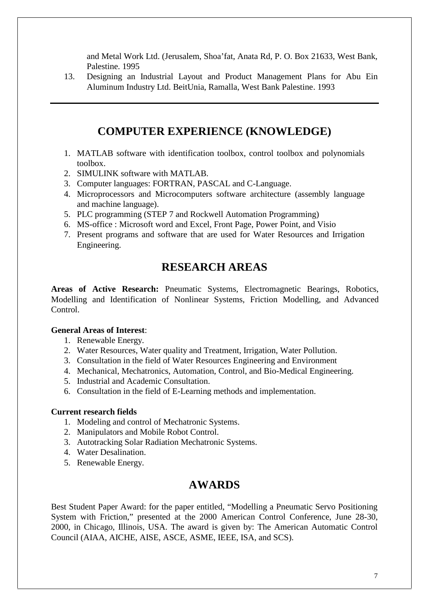and Metal Work Ltd. (Jerusalem, Shoa'fat, Anata Rd, P. O. Box 21633, West Bank, Palestine. 1995

13. Designing an Industrial Layout and Product Management Plans for Abu Ein Aluminum Industry Ltd. BeitUnia, Ramalla, West Bank Palestine. 1993

# **COMPUTER EXPERIENCE (KNOWLEDGE)**

- 1. MATLAB software with identification toolbox, control toolbox and polynomials toolbox.
- 2. SIMULINK software with MATLAB.
- 3. Computer languages: FORTRAN, PASCAL and C-Language.
- 4. Microprocessors and Microcomputers software architecture (assembly language and machine language).
- 5. PLC programming (STEP 7 and Rockwell Automation Programming)
- 6. MS-office : Microsoft word and Excel, Front Page, Power Point, and Visio
- 7. Present programs and software that are used for Water Resources and Irrigation Engineering.

# **RESEARCH AREAS**

**Areas of Active Research:** Pneumatic Systems, Electromagnetic Bearings, Robotics, Modelling and Identification of Nonlinear Systems, Friction Modelling, and Advanced Control.

### **General Areas of Interest**:

- 1. Renewable Energy.
- 2. Water Resources, Water quality and Treatment, Irrigation, Water Pollution.
- 3. Consultation in the field of Water Resources Engineering and Environment
- 4. Mechanical, Mechatronics, Automation, Control, and Bio-Medical Engineering.
- 5. Industrial and Academic Consultation.
- 6. Consultation in the field of E-Learning methods and implementation.

### **Current research fields**

- 1. Modeling and control of Mechatronic Systems.
- 2. Manipulators and Mobile Robot Control.
- 3. Autotracking Solar Radiation Mechatronic Systems.
- 4. Water Desalination.
- 5. Renewable Energy.

# **AWARDS**

Best Student Paper Award: for the paper entitled, "Modelling a Pneumatic Servo Positioning System with Friction," presented at the 2000 American Control Conference, June 28-30, 2000, in Chicago, Illinois, USA. The award is given by: The American Automatic Control Council (AIAA, AICHE, AISE, ASCE, ASME, IEEE, ISA, and SCS).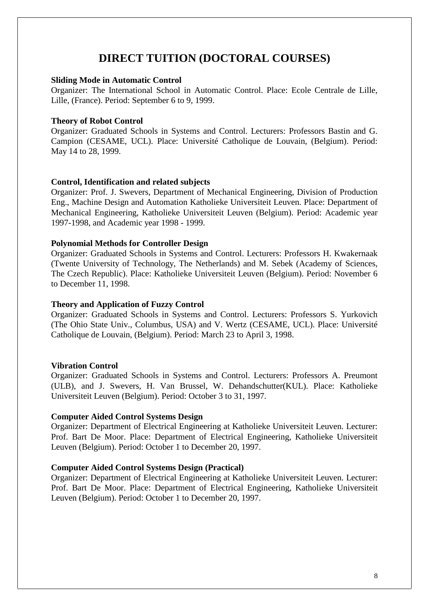# **DIRECT TUITION (DOCTORAL COURSES)**

#### **Sliding Mode in Automatic Control**

Organizer: The International School in Automatic Control. Place: Ecole Centrale de Lille, Lille, (France). Period: September 6 to 9, 1999.

#### **Theory of Robot Control**

Organizer: Graduated Schools in Systems and Control. Lecturers: Professors Bastin and G. Campion (CESAME, UCL). Place: Université Catholique de Louvain, (Belgium). Period: May 14 to 28, 1999.

#### **Control, Identification and related subjects**

Organizer: Prof. J. Swevers, Department of Mechanical Engineering, Division of Production Eng., Machine Design and Automation Katholieke Universiteit Leuven. Place: Department of Mechanical Engineering, Katholieke Universiteit Leuven (Belgium). Period: Academic year 1997-1998, and Academic year 1998 - 1999.

#### **Polynomial Methods for Controller Design**

Organizer: Graduated Schools in Systems and Control. Lecturers: Professors H. Kwakernaak (Twente University of Technology, The Netherlands) and M. Sebek (Academy of Sciences, The Czech Republic). Place: Katholieke Universiteit Leuven (Belgium). Period: November 6 to December 11, 1998.

#### **Theory and Application of Fuzzy Control**

Organizer: Graduated Schools in Systems and Control. Lecturers: Professors S. Yurkovich (The Ohio State Univ., Columbus, USA) and V. Wertz (CESAME, UCL). Place: Université Catholique de Louvain, (Belgium). Period: March 23 to April 3, 1998.

#### **Vibration Control**

Organizer: Graduated Schools in Systems and Control. Lecturers: Professors A. Preumont (ULB), and J. Swevers, H. Van Brussel, W. Dehandschutter(KUL). Place: Katholieke Universiteit Leuven (Belgium). Period: October 3 to 31, 1997.

#### **Computer Aided Control Systems Design**

Organizer: Department of Electrical Engineering at Katholieke Universiteit Leuven. Lecturer: Prof. Bart De Moor. Place: Department of Electrical Engineering, Katholieke Universiteit Leuven (Belgium). Period: October 1 to December 20, 1997.

#### **Computer Aided Control Systems Design (Practical)**

Organizer: Department of Electrical Engineering at Katholieke Universiteit Leuven. Lecturer: Prof. Bart De Moor. Place: Department of Electrical Engineering, Katholieke Universiteit Leuven (Belgium). Period: October 1 to December 20, 1997.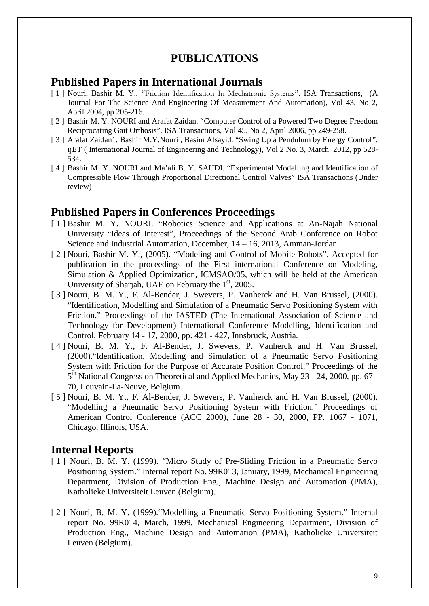# **PUBLICATIONS**

## **Published Papers in International Journals**

- [ 1 ] Nouri, Bashir M. Y.. "Friction Identification In Mechatronic Systems". ISA Transactions, (A Journal For The Science And Engineering Of Measurement And Automation), Vol 43, No 2, April 2004, pp 205-216.
- [ 2 ] Bashir M. Y. NOURI and Arafat Zaidan. "Computer Control of a Powered Two Degree Freedom Reciprocating Gait Orthosis". ISA Transactions, Vol 45, No 2, April 2006, pp 249-258.
- [ 3 ] Arafat Zaidan1, Bashir M.Y.Nouri, Basim Alsayid. "Swing Up a Pendulum by Energy Control". ijET ( International Journal of Engineering and Technology), Vol 2 No. 3, March 2012, pp 528- 534.
- [ 4 ] Bashir M. Y. NOURI and Ma'ali B. Y. SAUDI. "Experimental Modelling and Identification of Compressible Flow Through Proportional Directional Control Valves" ISA Transactions (Under review)

## **Published Papers in Conferences Proceedings**

- [1] Bashir M. Y. NOURI. "Robotics Science and Applications at An-Najah National University "Ideas of Interest", Proceedings of the Second Arab Conference on Robot Science and Industrial Automation, December, 14 – 16, 2013, Amman-Jordan.
- [ 2 ] Nouri, Bashir M. Y., (2005). "Modeling and Control of Mobile Robots". Accepted for publication in the proceedings of the First international Conference on Modeling, Simulation & Applied Optimization, ICMSAO/05, which will be held at the American University of Sharjah, UAE on February the  $1<sup>st</sup>$ , 2005.
- [ 3 ] Nouri, B. M. Y., F. Al-Bender, J. Swevers, P. Vanherck and H. Van Brussel, (2000). "Identification, Modelling and Simulation of a Pneumatic Servo Positioning System with Friction." Proceedings of the IASTED (The International Association of Science and Technology for Development) International Conference Modelling, Identification and Control, February 14 - 17, 2000, pp. 421 - 427, Innsbruck, Austria.
- [ 4 ] Nouri, B. M. Y., F. Al-Bender, J. Swevers, P. Vanherck and H. Van Brussel, (2000)."Identification, Modelling and Simulation of a Pneumatic Servo Positioning System with Friction for the Purpose of Accurate Position Control." Proceedings of the 5<sup>th</sup> National Congress on Theoretical and Applied Mechanics, May 23 - 24, 2000, pp. 67 -70, Louvain-La-Neuve, Belgium.
- [ 5 ] Nouri, B. M. Y., F. Al-Bender, J. Swevers, P. Vanherck and H. Van Brussel, (2000). "Modelling a Pneumatic Servo Positioning System with Friction." Proceedings of American Control Conference (ACC 2000), June 28 - 30, 2000, PP. 1067 - 1071, Chicago, Illinois, USA.

# **Internal Reports**

- [ 1 ] Nouri, B. M. Y. (1999). "Micro Study of Pre-Sliding Friction in a Pneumatic Servo Positioning System." Internal report No. 99R013, January, 1999, Mechanical Engineering Department, Division of Production Eng., Machine Design and Automation (PMA), Katholieke Universiteit Leuven (Belgium).
- [ 2 ] Nouri, B. M. Y. (1999)."Modelling a Pneumatic Servo Positioning System." Internal report No. 99R014, March, 1999, Mechanical Engineering Department, Division of Production Eng., Machine Design and Automation (PMA), Katholieke Universiteit Leuven (Belgium).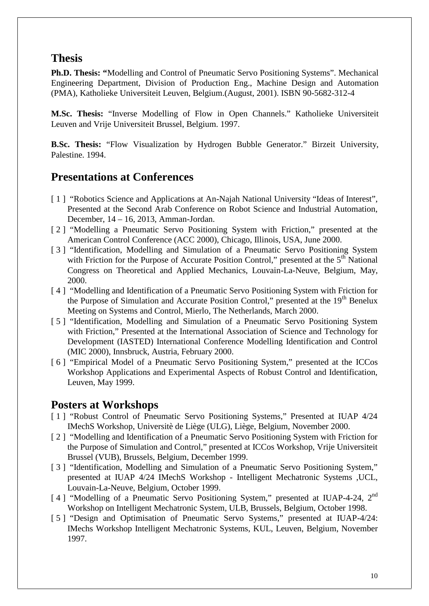# **Thesis**

**Ph.D. Thesis: "**Modelling and Control of Pneumatic Servo Positioning Systems". Mechanical Engineering Department, Division of Production Eng., Machine Design and Automation (PMA), Katholieke Universiteit Leuven, Belgium.(August, 2001). ISBN 90-5682-312-4

**M.Sc. Thesis:** "Inverse Modelling of Flow in Open Channels." Katholieke Universiteit Leuven and Vrije Universiteit Brussel, Belgium. 1997.

**B.Sc. Thesis:** "Flow Visualization by Hydrogen Bubble Generator." Birzeit University, Palestine. 1994.

# **Presentations at Conferences**

- [1] "Robotics Science and Applications at An-Najah National University "Ideas of Interest", Presented at the Second Arab Conference on Robot Science and Industrial Automation, December, 14 – 16, 2013, Amman-Jordan.
- [ 2 ] "Modelling a Pneumatic Servo Positioning System with Friction," presented at the American Control Conference (ACC 2000), Chicago, Illinois, USA, June 2000.
- [ 3 ] "Identification, Modelling and Simulation of a Pneumatic Servo Positioning System with Friction for the Purpose of Accurate Position Control," presented at the  $5<sup>th</sup>$  National Congress on Theoretical and Applied Mechanics, Louvain-La-Neuve, Belgium, May, 2000.
- [ 4 ] "Modelling and Identification of a Pneumatic Servo Positioning System with Friction for the Purpose of Simulation and Accurate Position Control," presented at the 19<sup>th</sup> Benelux Meeting on Systems and Control, Mierlo, The Netherlands, March 2000.
- [5] "Identification, Modelling and Simulation of a Pneumatic Servo Positioning System with Friction," Presented at the International Association of Science and Technology for Development (IASTED) International Conference Modelling Identification and Control (MIC 2000), Innsbruck, Austria, February 2000.
- [ 6 ] "Empirical Model of a Pneumatic Servo Positioning System," presented at the ICCos Workshop Applications and Experimental Aspects of Robust Control and Identification, Leuven, May 1999.

## **Posters at Workshops**

- [ 1 ] "Robust Control of Pneumatic Servo Positioning Systems," Presented at IUAP 4/24 IMechS Workshop, Universitè de Liège (ULG), Liège, Belgium, November 2000.
- [ 2 ] "Modelling and Identification of a Pneumatic Servo Positioning System with Friction for the Purpose of Simulation and Control," presented at ICCos Workshop, Vrije Universiteit Brussel (VUB), Brussels, Belgium, December 1999.
- [ 3 ] "Identification, Modelling and Simulation of a Pneumatic Servo Positioning System," presented at IUAP 4/24 IMechS Workshop - Intelligent Mechatronic Systems ,UCL, Louvain-La-Neuve, Belgium, October 1999.
- [4] "Modelling of a Pneumatic Servo Positioning System," presented at IUAP-4-24, 2<sup>nd</sup> Workshop on Intelligent Mechatronic System, ULB, Brussels, Belgium, October 1998.
- [ 5 ] "Design and Optimisation of Pneumatic Servo Systems," presented at IUAP-4/24: IMechs Workshop Intelligent Mechatronic Systems, KUL, Leuven, Belgium, November 1997.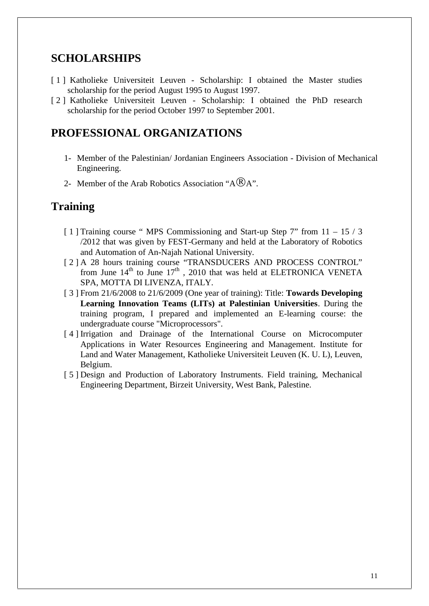# **SCHOLARSHIPS**

- [ 1 ] Katholieke Universiteit Leuven Scholarship: I obtained the Master studies scholarship for the period August 1995 to August 1997.
- [ 2 ] Katholieke Universiteit Leuven Scholarship: I obtained the PhD research scholarship for the period October 1997 to September 2001.

# **PROFESSIONAL ORGANIZATIONS**

- 1- Member of the Palestinian/ Jordanian Engineers Association Division of Mechanical Engineering.
- 2- Member of the Arab Robotics Association " $A\mathbb{R}$ A".

### **Training**

- [ 1 ] Training course " MPS Commissioning and Start-up Step 7" from 11 15 / 3 /2012 that was given by FEST-Germany and held at the Laboratory of Robotics and Automation of An-Najah National University.
- [ 2 ] A 28 hours training course "TRANSDUCERS AND PROCESS CONTROL" from June  $14^{th}$  to June  $17^{th}$ , 2010 that was held at ELETRONICA VENETA SPA, MOTTA DI LIVENZA, ITALY.
- [ 3 ] From 21/6/2008 to 21/6/2009 (One year of training): Title: **Towards Developing Learning Innovation Teams (LITs) at Palestinian Universities**. During the training program, I prepared and implemented an E-learning course: the undergraduate course "Microprocessors".
- [ 4 ] Irrigation and Drainage of the International Course on Microcomputer Applications in Water Resources Engineering and Management. Institute for Land and Water Management, Katholieke Universiteit Leuven (K. U. L), Leuven, Belgium.
- [ 5 ] Design and Production of Laboratory Instruments. Field training, Mechanical Engineering Department, Birzeit University, West Bank, Palestine.